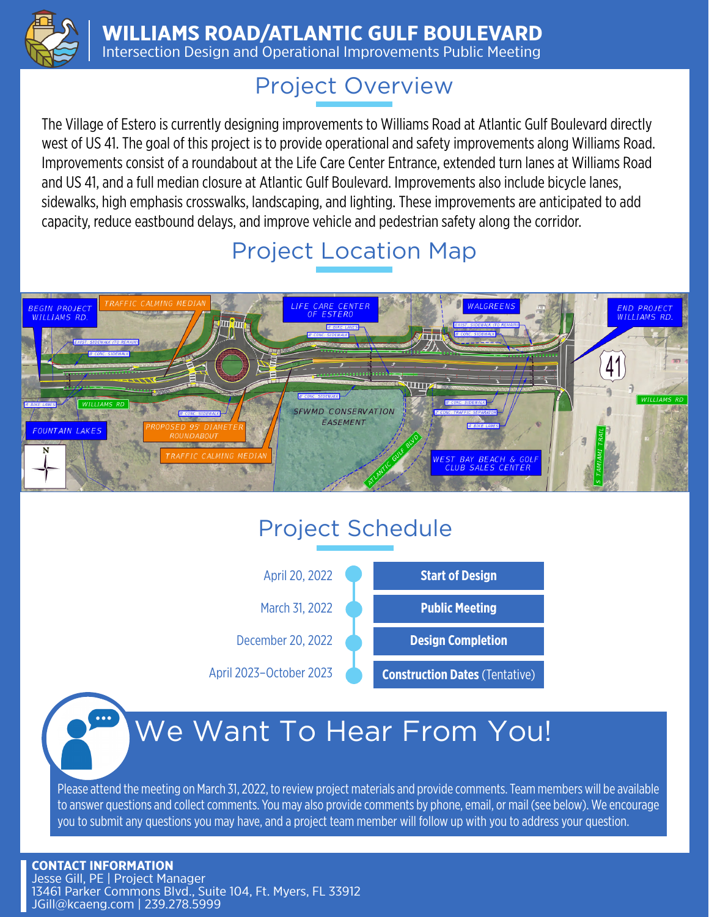

**WILLIAMS ROAD/ATLANTIC GULF BOULEVARD** 

Intersection Design and Operational Improvements Public Meeting

### Project Overview

The Village of Estero is currently designing improvements to Williams Road at Atlantic Gulf Boulevard directly west of US 41. The goal of this project is to provide operational and safety improvements along Williams Road. Improvements consist of a roundabout at the Life Care Center Entrance, extended turn lanes at Williams Road and US 41, and a full median closure at Atlantic Gulf Boulevard. Improvements also include bicycle lanes, sidewalks, high emphasis crosswalks, landscaping, and lighting. These improvements are anticipated to add capacity, reduce eastbound delays, and improve vehicle and pedestrian safety along the corridor.

## Project Location Map



# Project Schedule



# We Want To Hear From You!

Please attend the meeting on March 31, 2022, to review project materials and provide comments. Team members will be available to answer questions and collect comments. You may also provide comments by phone, email, or mail (see below). We encourage you to submit any questions you may have, and a project team member will follow up with you to address your question.